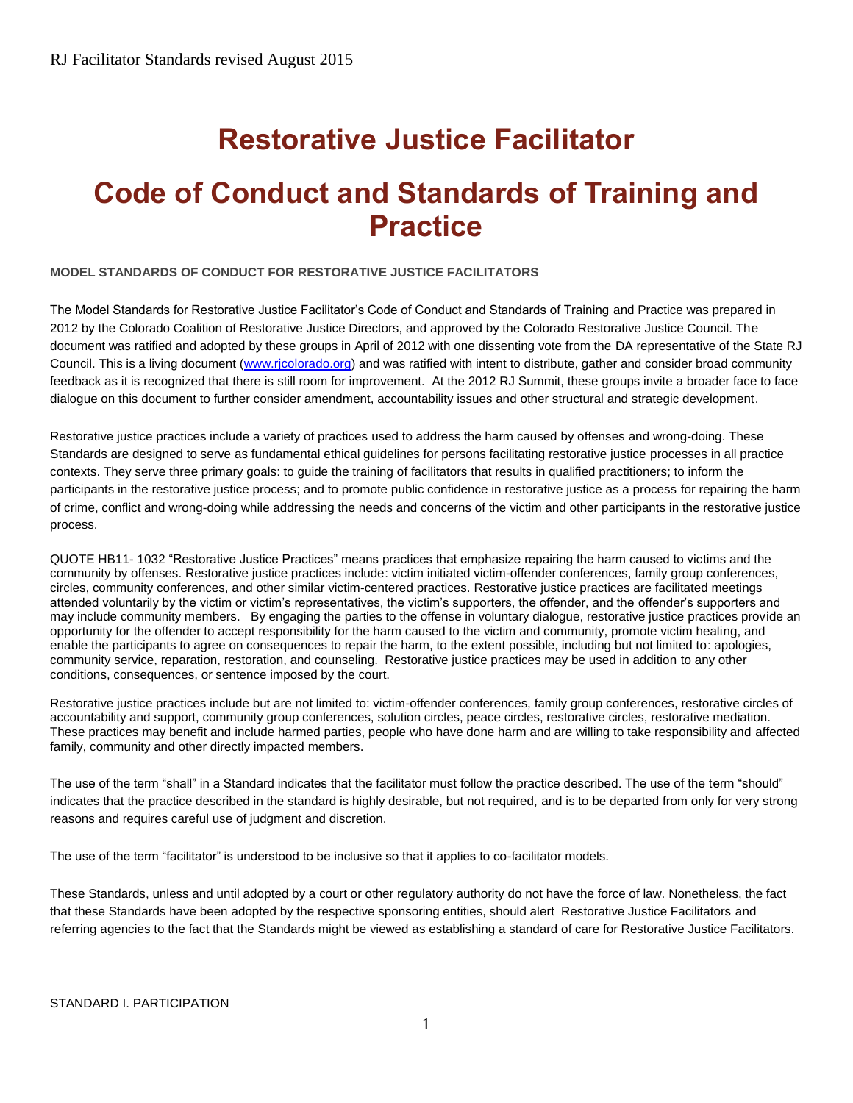# **Restorative Justice Facilitator**

# **Code of Conduct and Standards of Training and Practice**

#### **MODEL STANDARDS OF CONDUCT FOR RESTORATIVE JUSTICE FACILITATORS**

The Model Standards for Restorative Justice Facilitator's Code of Conduct and Standards of Training and Practice was prepared in 2012 by the Colorado Coalition of Restorative Justice Directors, and approved by the Colorado Restorative Justice Council. The document was ratified and adopted by these groups in April of 2012 with one dissenting vote from the DA representative of the State RJ Council. This is a living document [\(www.rjcolorado.org\)](http://www.rjcolorado.org/) and was ratified with intent to distribute, gather and consider broad community feedback as it is recognized that there is still room for improvement. At the 2012 RJ Summit, these groups invite a broader face to face dialogue on this document to further consider amendment, accountability issues and other structural and strategic development.

Restorative justice practices include a variety of practices used to address the harm caused by offenses and wrong-doing. These Standards are designed to serve as fundamental ethical guidelines for persons facilitating restorative justice processes in all practice contexts. They serve three primary goals: to guide the training of facilitators that results in qualified practitioners; to inform the participants in the restorative justice process; and to promote public confidence in restorative justice as a process for repairing the harm of crime, conflict and wrong-doing while addressing the needs and concerns of the victim and other participants in the restorative justice process.

QUOTE HB11- 1032 "Restorative Justice Practices" means practices that emphasize repairing the harm caused to victims and the community by offenses. Restorative justice practices include: victim initiated victim-offender conferences, family group conferences, circles, community conferences, and other similar victim-centered practices. Restorative justice practices are facilitated meetings attended voluntarily by the victim or victim's representatives, the victim's supporters, the offender, and the offender's supporters and may include community members. By engaging the parties to the offense in voluntary dialogue, restorative justice practices provide an opportunity for the offender to accept responsibility for the harm caused to the victim and community, promote victim healing, and enable the participants to agree on consequences to repair the harm, to the extent possible, including but not limited to: apologies, community service, reparation, restoration, and counseling. Restorative justice practices may be used in addition to any other conditions, consequences, or sentence imposed by the court.

Restorative justice practices include but are not limited to: victim-offender conferences, family group conferences, restorative circles of accountability and support, community group conferences, solution circles, peace circles, restorative circles, restorative mediation. These practices may benefit and include harmed parties, people who have done harm and are willing to take responsibility and affected family, community and other directly impacted members.

The use of the term "shall" in a Standard indicates that the facilitator must follow the practice described. The use of the term "should" indicates that the practice described in the standard is highly desirable, but not required, and is to be departed from only for very strong reasons and requires careful use of judgment and discretion.

The use of the term "facilitator" is understood to be inclusive so that it applies to co-facilitator models.

These Standards, unless and until adopted by a court or other regulatory authority do not have the force of law. Nonetheless, the fact that these Standards have been adopted by the respective sponsoring entities, should alert Restorative Justice Facilitators and referring agencies to the fact that the Standards might be viewed as establishing a standard of care for Restorative Justice Facilitators.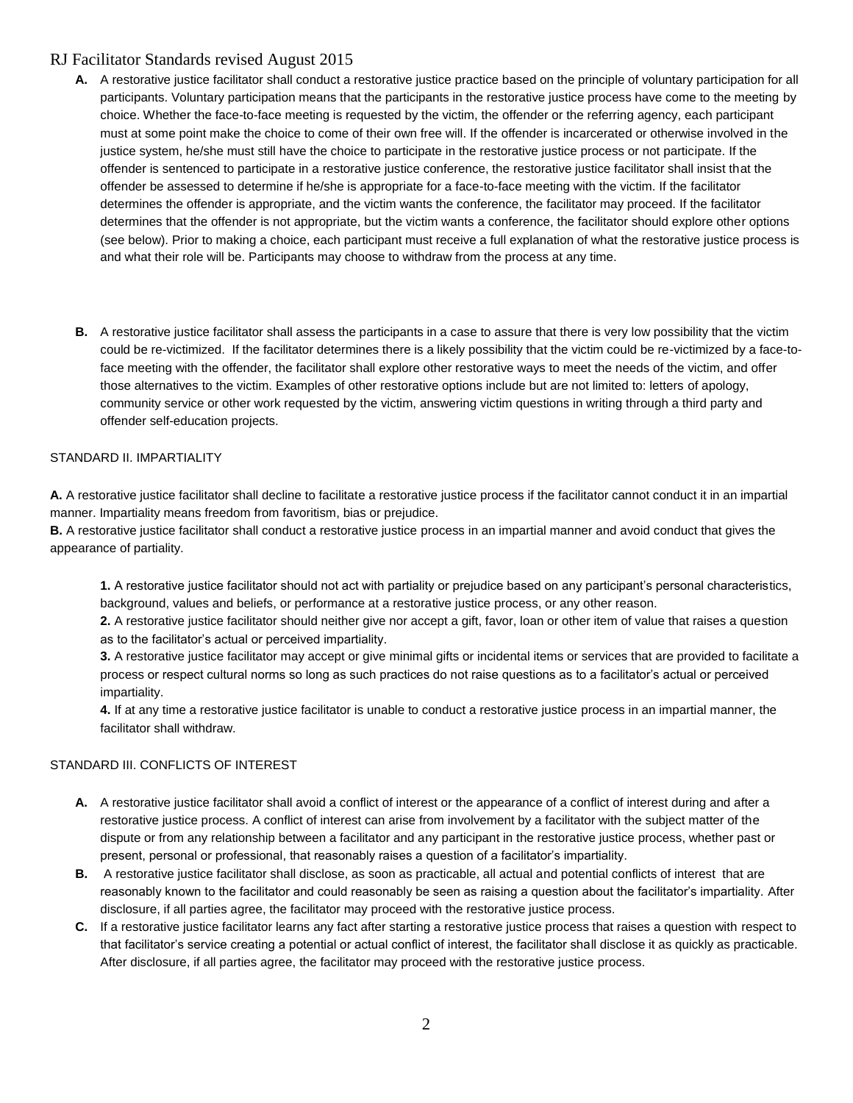- A. A restorative justice facilitator shall conduct a restorative justice practice based on the principle of voluntary participation for all participants. Voluntary participation means that the participants in the restorative justice process have come to the meeting by choice. Whether the face-to-face meeting is requested by the victim, the offender or the referring agency, each participant must at some point make the choice to come of their own free will. If the offender is incarcerated or otherwise involved in the justice system, he/she must still have the choice to participate in the restorative justice process or not participate. If the offender is sentenced to participate in a restorative justice conference, the restorative justice facilitator shall insist that the offender be assessed to determine if he/she is appropriate for a face-to-face meeting with the victim. If the facilitator determines the offender is appropriate, and the victim wants the conference, the facilitator may proceed. If the facilitator determines that the offender is not appropriate, but the victim wants a conference, the facilitator should explore other options (see below). Prior to making a choice, each participant must receive a full explanation of what the restorative justice process is and what their role will be. Participants may choose to withdraw from the process at any time.
- **B.** A restorative justice facilitator shall assess the participants in a case to assure that there is very low possibility that the victim could be re-victimized. If the facilitator determines there is a likely possibility that the victim could be re-victimized by a face-toface meeting with the offender, the facilitator shall explore other restorative ways to meet the needs of the victim, and offer those alternatives to the victim. Examples of other restorative options include but are not limited to: letters of apology, community service or other work requested by the victim, answering victim questions in writing through a third party and offender self-education projects.

#### STANDARD II. IMPARTIALITY

**A.** A restorative justice facilitator shall decline to facilitate a restorative justice process if the facilitator cannot conduct it in an impartial manner. Impartiality means freedom from favoritism, bias or prejudice.

**B.** A restorative justice facilitator shall conduct a restorative justice process in an impartial manner and avoid conduct that gives the appearance of partiality.

**1.** A restorative justice facilitator should not act with partiality or prejudice based on any participant's personal characteristics, background, values and beliefs, or performance at a restorative justice process, or any other reason.

**2.** A restorative justice facilitator should neither give nor accept a gift, favor, loan or other item of value that raises a question as to the facilitator's actual or perceived impartiality.

**3.** A restorative justice facilitator may accept or give minimal gifts or incidental items or services that are provided to facilitate a process or respect cultural norms so long as such practices do not raise questions as to a facilitator's actual or perceived impartiality.

**4.** If at any time a restorative justice facilitator is unable to conduct a restorative justice process in an impartial manner, the facilitator shall withdraw.

#### STANDARD III. CONFLICTS OF INTEREST

- **A.** A restorative justice facilitator shall avoid a conflict of interest or the appearance of a conflict of interest during and after a restorative justice process. A conflict of interest can arise from involvement by a facilitator with the subject matter of the dispute or from any relationship between a facilitator and any participant in the restorative justice process, whether past or present, personal or professional, that reasonably raises a question of a facilitator's impartiality.
- **B.** A restorative justice facilitator shall disclose, as soon as practicable, all actual and potential conflicts of interest that are reasonably known to the facilitator and could reasonably be seen as raising a question about the facilitator's impartiality. After disclosure, if all parties agree, the facilitator may proceed with the restorative justice process.
- **C.** If a restorative justice facilitator learns any fact after starting a restorative justice process that raises a question with respect to that facilitator's service creating a potential or actual conflict of interest, the facilitator shall disclose it as quickly as practicable. After disclosure, if all parties agree, the facilitator may proceed with the restorative justice process.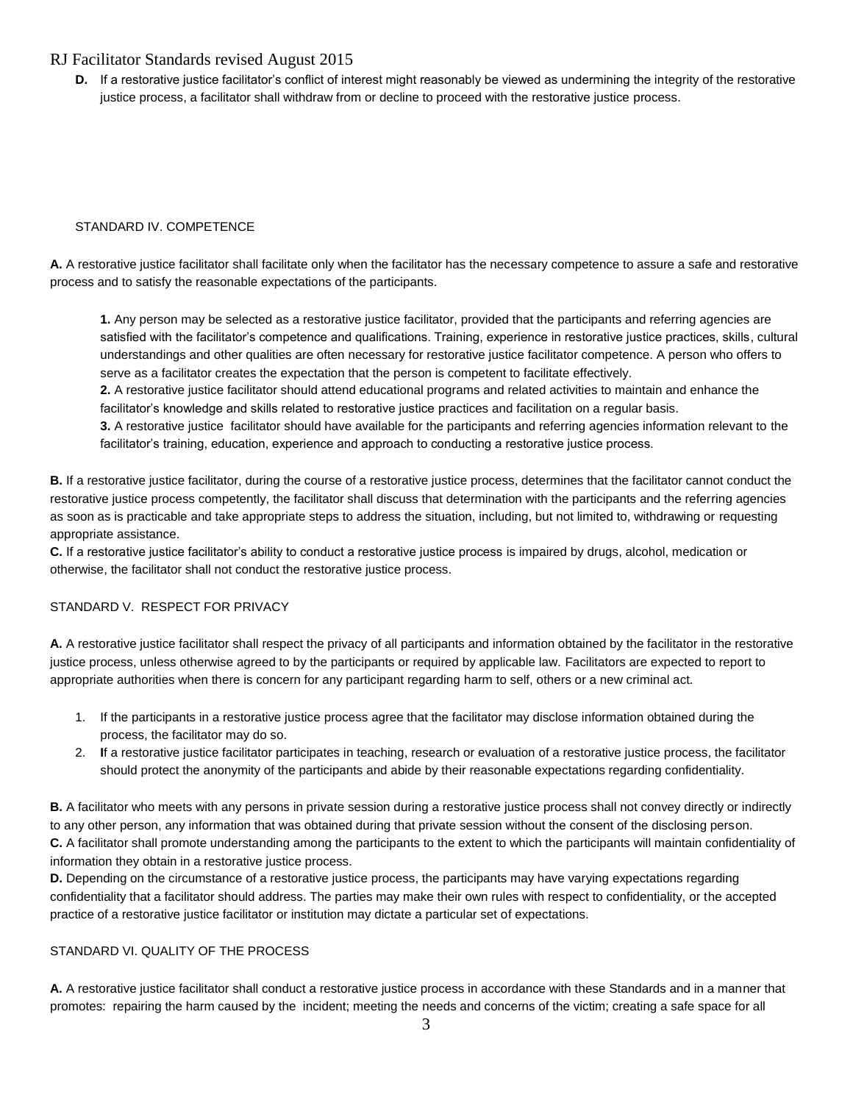**D.** If a restorative justice facilitator's conflict of interest might reasonably be viewed as undermining the integrity of the restorative justice process, a facilitator shall withdraw from or decline to proceed with the restorative justice process.

#### STANDARD IV. COMPETENCE

**A.** A restorative justice facilitator shall facilitate only when the facilitator has the necessary competence to assure a safe and restorative process and to satisfy the reasonable expectations of the participants.

**1.** Any person may be selected as a restorative justice facilitator, provided that the participants and referring agencies are satisfied with the facilitator's competence and qualifications. Training, experience in restorative justice practices, skills, cultural understandings and other qualities are often necessary for restorative justice facilitator competence. A person who offers to serve as a facilitator creates the expectation that the person is competent to facilitate effectively.

**2.** A restorative justice facilitator should attend educational programs and related activities to maintain and enhance the facilitator's knowledge and skills related to restorative justice practices and facilitation on a regular basis.

**3.** A restorative justice facilitator should have available for the participants and referring agencies information relevant to the facilitator's training, education, experience and approach to conducting a restorative justice process.

**B.** If a restorative justice facilitator, during the course of a restorative justice process, determines that the facilitator cannot conduct the restorative justice process competently, the facilitator shall discuss that determination with the participants and the referring agencies as soon as is practicable and take appropriate steps to address the situation, including, but not limited to, withdrawing or requesting appropriate assistance.

**C.** If a restorative justice facilitator's ability to conduct a restorative justice process is impaired by drugs, alcohol, medication or otherwise, the facilitator shall not conduct the restorative justice process.

#### STANDARD V. RESPECT FOR PRIVACY

**A.** A restorative justice facilitator shall respect the privacy of all participants and information obtained by the facilitator in the restorative justice process, unless otherwise agreed to by the participants or required by applicable law. Facilitators are expected to report to appropriate authorities when there is concern for any participant regarding harm to self, others or a new criminal act.

- 1. If the participants in a restorative justice process agree that the facilitator may disclose information obtained during the process, the facilitator may do so.
- 2. **I**f a restorative justice facilitator participates in teaching, research or evaluation of a restorative justice process, the facilitator should protect the anonymity of the participants and abide by their reasonable expectations regarding confidentiality.

**B.** A facilitator who meets with any persons in private session during a restorative justice process shall not convey directly or indirectly to any other person, any information that was obtained during that private session without the consent of the disclosing person. **C.** A facilitator shall promote understanding among the participants to the extent to which the participants will maintain confidentiality of information they obtain in a restorative justice process.

**D.** Depending on the circumstance of a restorative justice process, the participants may have varying expectations regarding confidentiality that a facilitator should address. The parties may make their own rules with respect to confidentiality, or the accepted practice of a restorative justice facilitator or institution may dictate a particular set of expectations.

#### STANDARD VI. QUALITY OF THE PROCESS

**A.** A restorative justice facilitator shall conduct a restorative justice process in accordance with these Standards and in a manner that promotes: repairing the harm caused by the incident; meeting the needs and concerns of the victim; creating a safe space for all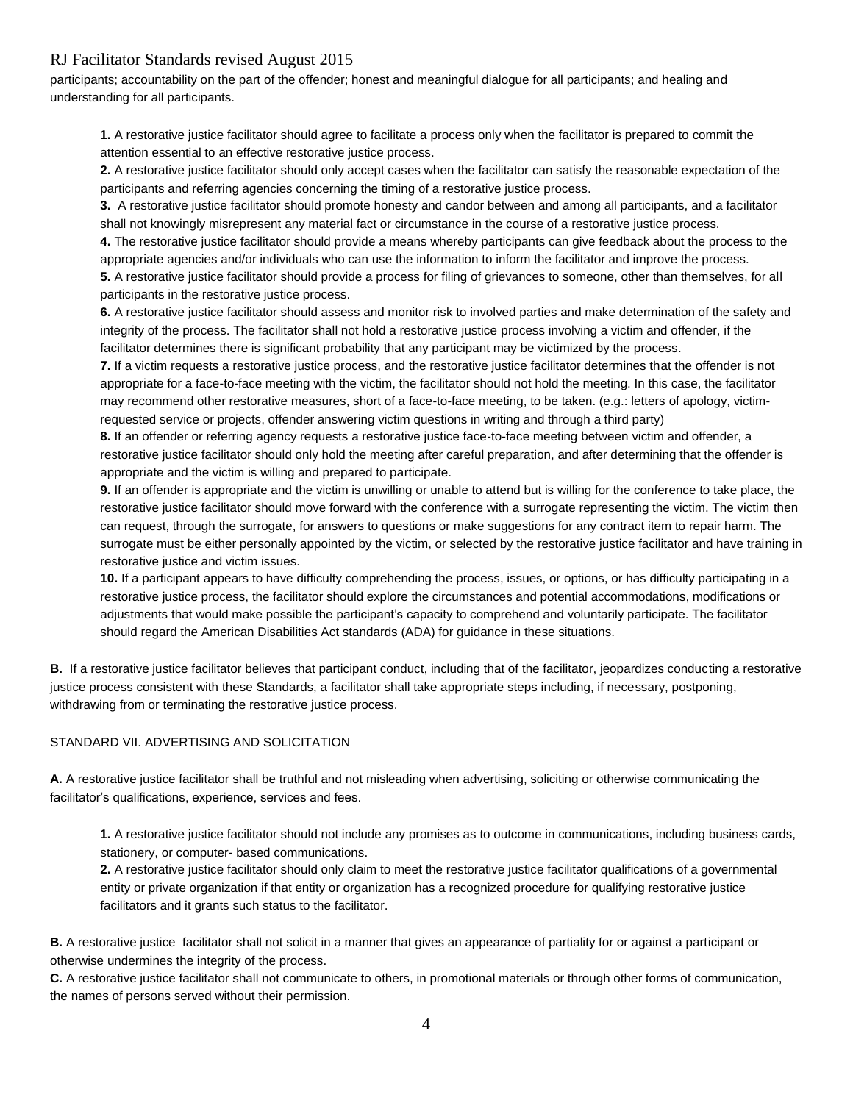participants; accountability on the part of the offender; honest and meaningful dialogue for all participants; and healing and understanding for all participants.

**1.** A restorative justice facilitator should agree to facilitate a process only when the facilitator is prepared to commit the attention essential to an effective restorative justice process.

**2.** A restorative justice facilitator should only accept cases when the facilitator can satisfy the reasonable expectation of the participants and referring agencies concerning the timing of a restorative justice process.

**3.** A restorative justice facilitator should promote honesty and candor between and among all participants, and a facilitator shall not knowingly misrepresent any material fact or circumstance in the course of a restorative justice process.

**4.** The restorative justice facilitator should provide a means whereby participants can give feedback about the process to the appropriate agencies and/or individuals who can use the information to inform the facilitator and improve the process. **5.** A restorative justice facilitator should provide a process for filing of grievances to someone, other than themselves, for all participants in the restorative justice process.

**6.** A restorative justice facilitator should assess and monitor risk to involved parties and make determination of the safety and integrity of the process. The facilitator shall not hold a restorative justice process involving a victim and offender, if the facilitator determines there is significant probability that any participant may be victimized by the process.

**7.** If a victim requests a restorative justice process, and the restorative justice facilitator determines that the offender is not appropriate for a face-to-face meeting with the victim, the facilitator should not hold the meeting. In this case, the facilitator may recommend other restorative measures, short of a face-to-face meeting, to be taken. (e.g.: letters of apology, victimrequested service or projects, offender answering victim questions in writing and through a third party)

**8.** If an offender or referring agency requests a restorative justice face-to-face meeting between victim and offender, a restorative justice facilitator should only hold the meeting after careful preparation, and after determining that the offender is appropriate and the victim is willing and prepared to participate.

**9.** If an offender is appropriate and the victim is unwilling or unable to attend but is willing for the conference to take place, the restorative justice facilitator should move forward with the conference with a surrogate representing the victim. The victim then can request, through the surrogate, for answers to questions or make suggestions for any contract item to repair harm. The surrogate must be either personally appointed by the victim, or selected by the restorative justice facilitator and have training in restorative justice and victim issues.

**10.** If a participant appears to have difficulty comprehending the process, issues, or options, or has difficulty participating in a restorative justice process, the facilitator should explore the circumstances and potential accommodations, modifications or adjustments that would make possible the participant's capacity to comprehend and voluntarily participate. The facilitator should regard the American Disabilities Act standards (ADA) for guidance in these situations.

**B.** If a restorative justice facilitator believes that participant conduct, including that of the facilitator, jeopardizes conducting a restorative justice process consistent with these Standards, a facilitator shall take appropriate steps including, if necessary, postponing, withdrawing from or terminating the restorative justice process.

#### STANDARD VII. ADVERTISING AND SOLICITATION

**A.** A restorative justice facilitator shall be truthful and not misleading when advertising, soliciting or otherwise communicating the facilitator's qualifications, experience, services and fees.

**1.** A restorative justice facilitator should not include any promises as to outcome in communications, including business cards, stationery, or computer- based communications.

**2.** A restorative justice facilitator should only claim to meet the restorative justice facilitator qualifications of a governmental entity or private organization if that entity or organization has a recognized procedure for qualifying restorative justice facilitators and it grants such status to the facilitator.

**B.** A restorative justice facilitator shall not solicit in a manner that gives an appearance of partiality for or against a participant or otherwise undermines the integrity of the process.

**C.** A restorative justice facilitator shall not communicate to others, in promotional materials or through other forms of communication, the names of persons served without their permission.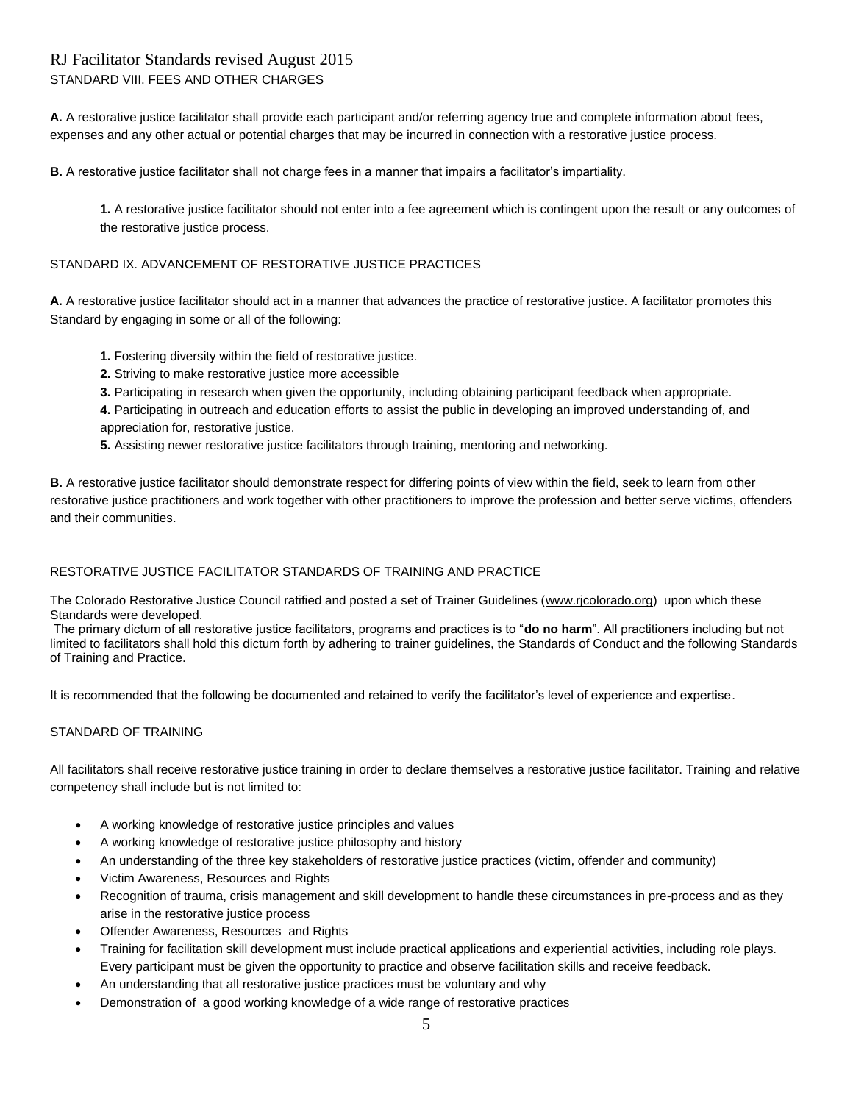# RJ Facilitator Standards revised August 2015 STANDARD VIII. FEES AND OTHER CHARGES

**A.** A restorative justice facilitator shall provide each participant and/or referring agency true and complete information about fees, expenses and any other actual or potential charges that may be incurred in connection with a restorative justice process.

**B.** A restorative justice facilitator shall not charge fees in a manner that impairs a facilitator's impartiality.

**1.** A restorative justice facilitator should not enter into a fee agreement which is contingent upon the result or any outcomes of the restorative justice process.

#### STANDARD IX. ADVANCEMENT OF RESTORATIVE JUSTICE PRACTICES

**A.** A restorative justice facilitator should act in a manner that advances the practice of restorative justice. A facilitator promotes this Standard by engaging in some or all of the following:

- **1.** Fostering diversity within the field of restorative justice.
- **2.** Striving to make restorative justice more accessible
- **3.** Participating in research when given the opportunity, including obtaining participant feedback when appropriate.
- **4.** Participating in outreach and education efforts to assist the public in developing an improved understanding of, and appreciation for, restorative justice.
- **5.** Assisting newer restorative justice facilitators through training, mentoring and networking.

**B.** A restorative justice facilitator should demonstrate respect for differing points of view within the field, seek to learn from other restorative justice practitioners and work together with other practitioners to improve the profession and better serve victims, offenders and their communities.

#### RESTORATIVE JUSTICE FACILITATOR STANDARDS OF TRAINING AND PRACTICE

The Colorado Restorative Justice Council ratified and posted a set of Trainer Guidelines [\(www.rjcolorado.org\)](http://www.rjcolorado.org/) upon which these Standards were developed.

The primary dictum of all restorative justice facilitators, programs and practices is to "**do no harm**". All practitioners including but not limited to facilitators shall hold this dictum forth by adhering to trainer guidelines, the Standards of Conduct and the following Standards of Training and Practice.

It is recommended that the following be documented and retained to verify the facilitator's level of experience and expertise.

#### STANDARD OF TRAINING

All facilitators shall receive restorative justice training in order to declare themselves a restorative justice facilitator. Training and relative competency shall include but is not limited to:

- A working knowledge of restorative justice principles and values
- A working knowledge of restorative justice philosophy and history
- An understanding of the three key stakeholders of restorative justice practices (victim, offender and community)
- Victim Awareness, Resources and Rights
- Recognition of trauma, crisis management and skill development to handle these circumstances in pre-process and as they arise in the restorative justice process
- Offender Awareness, Resources and Rights
- Training for facilitation skill development must include practical applications and experiential activities, including role plays. Every participant must be given the opportunity to practice and observe facilitation skills and receive feedback.
- An understanding that all restorative justice practices must be voluntary and why
- Demonstration of a good working knowledge of a wide range of restorative practices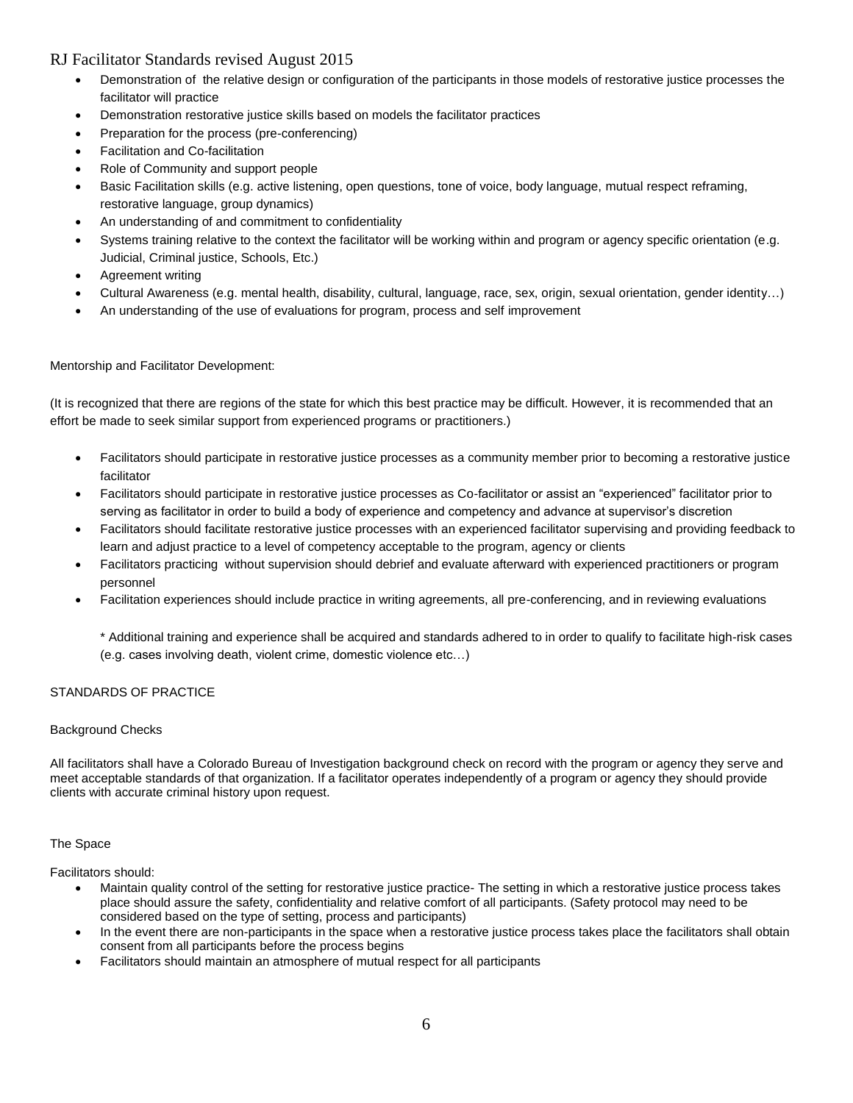- Demonstration of the relative design or configuration of the participants in those models of restorative justice processes the facilitator will practice
- Demonstration restorative justice skills based on models the facilitator practices
- Preparation for the process (pre-conferencing)
- Facilitation and Co-facilitation
- Role of Community and support people
- Basic Facilitation skills (e.g. active listening, open questions, tone of voice, body language, mutual respect reframing, restorative language, group dynamics)
- An understanding of and commitment to confidentiality
- Systems training relative to the context the facilitator will be working within and program or agency specific orientation (e.g. Judicial, Criminal justice, Schools, Etc.)
- Agreement writing
- Cultural Awareness (e.g. mental health, disability, cultural, language, race, sex, origin, sexual orientation, gender identity…)
- An understanding of the use of evaluations for program, process and self improvement

#### Mentorship and Facilitator Development:

(It is recognized that there are regions of the state for which this best practice may be difficult. However, it is recommended that an effort be made to seek similar support from experienced programs or practitioners.)

- Facilitators should participate in restorative justice processes as a community member prior to becoming a restorative justice facilitator
- Facilitators should participate in restorative justice processes as Co-facilitator or assist an "experienced" facilitator prior to serving as facilitator in order to build a body of experience and competency and advance at supervisor's discretion
- Facilitators should facilitate restorative justice processes with an experienced facilitator supervising and providing feedback to learn and adjust practice to a level of competency acceptable to the program, agency or clients
- Facilitators practicing without supervision should debrief and evaluate afterward with experienced practitioners or program personnel
- Facilitation experiences should include practice in writing agreements, all pre-conferencing, and in reviewing evaluations

\* Additional training and experience shall be acquired and standards adhered to in order to qualify to facilitate high-risk cases (e.g. cases involving death, violent crime, domestic violence etc…)

#### STANDARDS OF PRACTICE

#### Background Checks

All facilitators shall have a Colorado Bureau of Investigation background check on record with the program or agency they serve and meet acceptable standards of that organization. If a facilitator operates independently of a program or agency they should provide clients with accurate criminal history upon request.

#### The Space

Facilitators should:

- Maintain quality control of the setting for restorative justice practice- The setting in which a restorative justice process takes place should assure the safety, confidentiality and relative comfort of all participants. (Safety protocol may need to be considered based on the type of setting, process and participants)
- In the event there are non-participants in the space when a restorative justice process takes place the facilitators shall obtain consent from all participants before the process begins
- Facilitators should maintain an atmosphere of mutual respect for all participants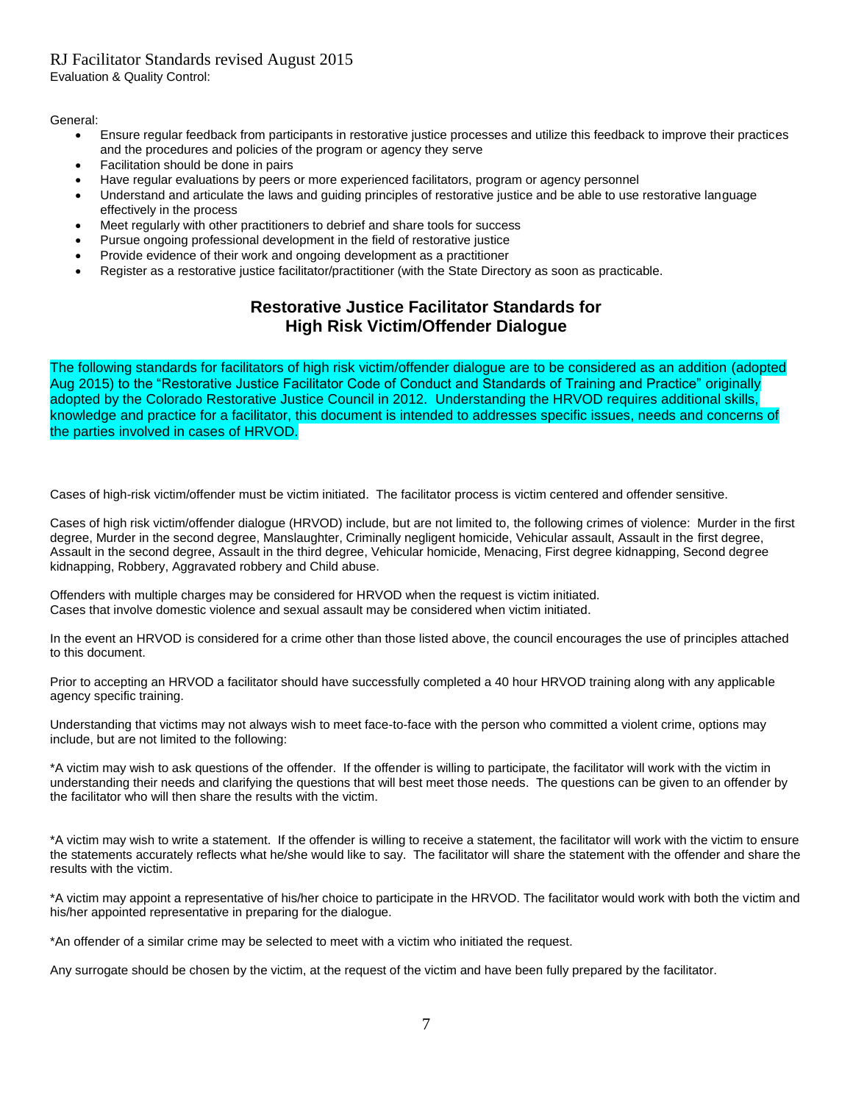Evaluation & Quality Control:

General:

- Ensure regular feedback from participants in restorative justice processes and utilize this feedback to improve their practices and the procedures and policies of the program or agency they serve
- Facilitation should be done in pairs
- Have regular evaluations by peers or more experienced facilitators, program or agency personnel
- Understand and articulate the laws and guiding principles of restorative justice and be able to use restorative language effectively in the process
- Meet regularly with other practitioners to debrief and share tools for success
- Pursue ongoing professional development in the field of restorative justice
- Provide evidence of their work and ongoing development as a practitioner
- Register as a restorative justice facilitator/practitioner (with the State Directory as soon as practicable.

# **Restorative Justice Facilitator Standards for High Risk Victim/Offender Dialogue**

The following standards for facilitators of high risk victim/offender dialogue are to be considered as an addition (adopted Aug 2015) to the "Restorative Justice Facilitator Code of Conduct and Standards of Training and Practice" originally adopted by the Colorado Restorative Justice Council in 2012. Understanding the HRVOD requires additional skills, knowledge and practice for a facilitator, this document is intended to addresses specific issues, needs and concerns of the parties involved in cases of HRVOD.

Cases of high-risk victim/offender must be victim initiated. The facilitator process is victim centered and offender sensitive.

Cases of high risk victim/offender dialogue (HRVOD) include, but are not limited to, the following crimes of violence: Murder in the first degree, Murder in the second degree, Manslaughter, Criminally negligent homicide, Vehicular assault, Assault in the first degree, Assault in the second degree, Assault in the third degree, Vehicular homicide, Menacing, First degree kidnapping, Second degree kidnapping, Robbery, Aggravated robbery and Child abuse.

Offenders with multiple charges may be considered for HRVOD when the request is victim initiated. Cases that involve domestic violence and sexual assault may be considered when victim initiated.

In the event an HRVOD is considered for a crime other than those listed above, the council encourages the use of principles attached to this document.

Prior to accepting an HRVOD a facilitator should have successfully completed a 40 hour HRVOD training along with any applicable agency specific training.

Understanding that victims may not always wish to meet face-to-face with the person who committed a violent crime, options may include, but are not limited to the following:

\*A victim may wish to ask questions of the offender. If the offender is willing to participate, the facilitator will work with the victim in understanding their needs and clarifying the questions that will best meet those needs. The questions can be given to an offender by the facilitator who will then share the results with the victim.

\*A victim may wish to write a statement. If the offender is willing to receive a statement, the facilitator will work with the victim to ensure the statements accurately reflects what he/she would like to say. The facilitator will share the statement with the offender and share the results with the victim.

\*A victim may appoint a representative of his/her choice to participate in the HRVOD. The facilitator would work with both the victim and his/her appointed representative in preparing for the dialogue.

\*An offender of a similar crime may be selected to meet with a victim who initiated the request.

Any surrogate should be chosen by the victim, at the request of the victim and have been fully prepared by the facilitator.